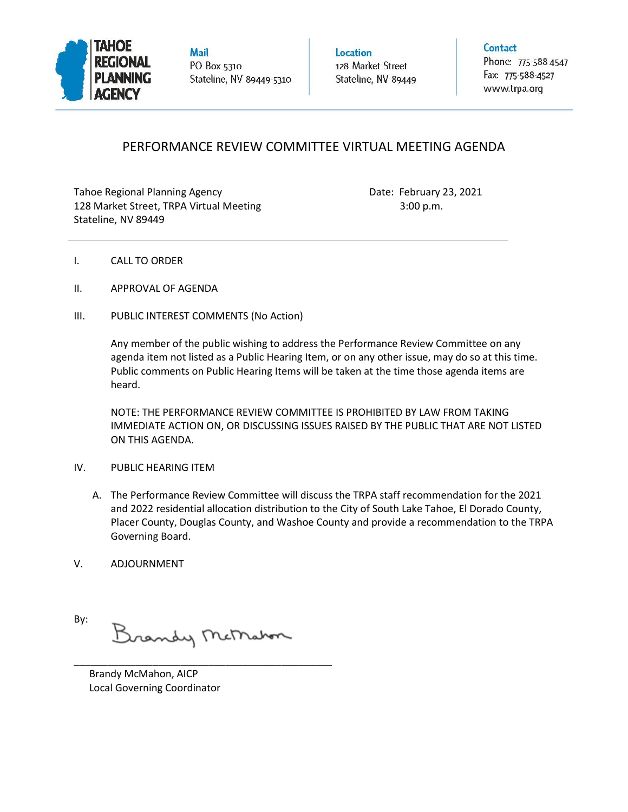

**Mail** PO Box 5310 Stateline, NV 89449-5310 Location 128 Market Street Stateline, NV 89449 Contact

Phone: 775-588-4547 Fax: 775-588-4527 www.trpa.org

## PERFORMANCE REVIEW COMMITTEE VIRTUAL MEETING AGENDA

Tahoe Regional Planning Agency **Date: February 23, 2021** 128 Market Street, TRPA Virtual Meeting 3:00 p.m. Stateline, NV 89449

- I. CALL TO ORDER
- II. APPROVAL OF AGENDA
- III. PUBLIC INTEREST COMMENTS (No Action)

Any member of the public wishing to address the Performance Review Committee on any agenda item not listed as a Public Hearing Item, or on any other issue, may do so at this time. Public comments on Public Hearing Items will be taken at the time those agenda items are heard.

NOTE: THE PERFORMANCE REVIEW COMMITTEE IS PROHIBITED BY LAW FROM TAKING IMMEDIATE ACTION ON, OR DISCUSSING ISSUES RAISED BY THE PUBLIC THAT ARE NOT LISTED ON THIS AGENDA.

## IV. PUBLIC HEARING ITEM

- A. The Performance Review Committee will discuss the TRPA staff recommendation for the 2021 and 2022 residential allocation distribution to the City of South Lake Tahoe, El Dorado County, Placer County, Douglas County, and Washoe County and provide a recommendation to the TRPA Governing Board.
- V. ADJOURNMENT

By: Brandy McMaton

\_\_\_\_\_\_\_\_\_\_\_\_\_\_\_\_\_\_\_\_\_\_\_\_\_\_\_\_\_\_\_\_\_\_\_\_\_\_\_\_\_\_\_\_\_\_

 Brandy McMahon, AICP Local Governing Coordinator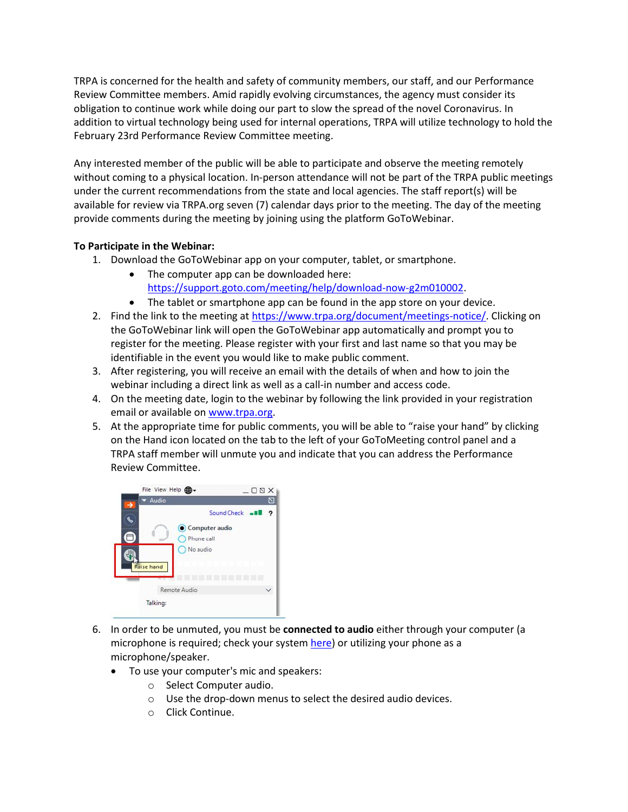TRPA is concerned for the health and safety of community members, our staff, and our Performance Review Committee members. Amid rapidly evolving circumstances, the agency must consider its obligation to continue work while doing our part to slow the spread of the novel Coronavirus. In addition to virtual technology being used for internal operations, TRPA will utilize technology to hold the February 23rd Performance Review Committee meeting.

Any interested member of the public will be able to participate and observe the meeting remotely without coming to a physical location. In-person attendance will not be part of the TRPA public meetings under the current recommendations from the state and local agencies. The staff report(s) will be available for review via TRPA.org seven (7) calendar days prior to the meeting. The day of the meeting provide comments during the meeting by joining using the platform GoToWebinar.

## **To Participate in the Webinar:**

- 1. Download the GoToWebinar app on your computer, tablet, or smartphone.
	- The computer app can be downloaded here: [https://support.goto.com/meeting/help/download-now-g2m010002.](https://support.goto.com/meeting/help/download-now-g2m010002)
	- The tablet or smartphone app can be found in the app store on your device.
- 2. Find the link to the meeting a[t https://www.trpa.org/document/meetings-notice/.](https://www.trpa.org/document/meetings-notice/) Clicking on the GoToWebinar link will open the GoToWebinar app automatically and prompt you to register for the meeting. Please register with your first and last name so that you may be identifiable in the event you would like to make public comment.
- 3. After registering, you will receive an email with the details of when and how to join the webinar including a direct link as well as a call-in number and access code.
- 4. On the meeting date, login to the webinar by following the link provided in your registration email or available on [www.trpa.org.](http://www.trpa.org/)
- 5. At the appropriate time for public comments, you will be able to "raise your hand" by clicking on the Hand icon located on the tab to the left of your GoToMeeting control panel and a TRPA staff member will unmute you and indicate that you can address the Performance Review Committee.



- 6. In order to be unmuted, you must be **connected to audio** either through your computer (a microphone is required; check your system [here\)](https://support.goto.com/webinar/system-check-attendee) or utilizing your phone as a microphone/speaker.
	- To use your computer's mic and speakers:
		- o Select Computer audio.
		- o Use the drop-down menus to select the desired audio devices.
		- o Click Continue.